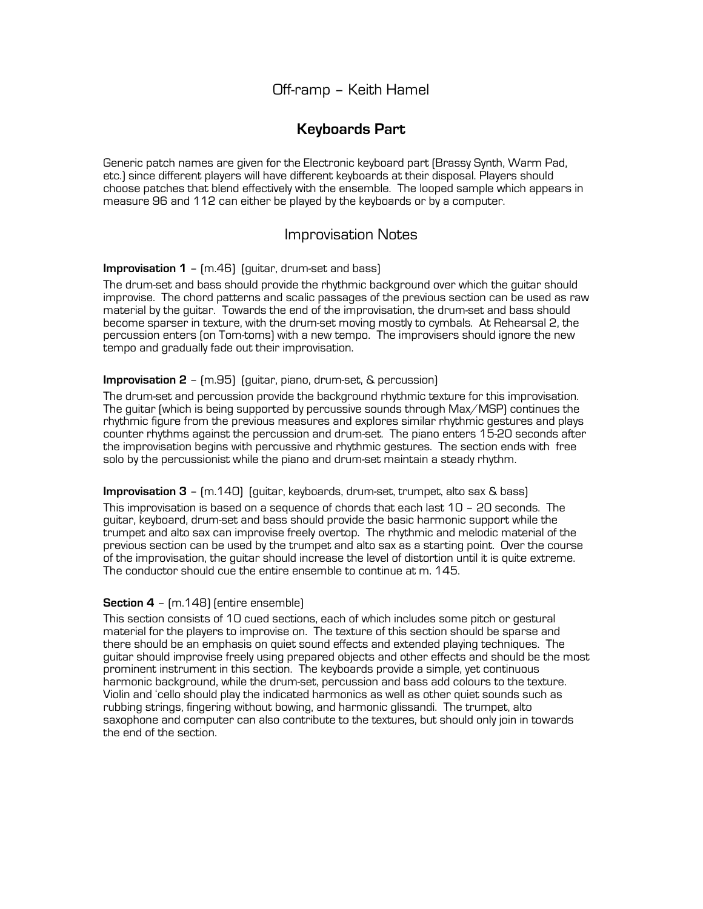# Off-ramp – Keith Hamel

# **Keyboards Part**

Generic patch names are given for the Electronic keyboard part (Brassy Synth, Warm Pad, etc.) since different players will have different keyboards at their disposal. Players should choose patches that blend effectively with the ensemble. The looped sample which appears in measure 96 and 112 can either be played by the keyboards or by a computer.

## Improvisation Notes

### **Improvisation 1** – (m.46) (guitar, drum-set and bass)

The drum-set and bass should provide the rhythmic background over which the guitar should improvise. The chord patterns and scalic passages of the previous section can be used as raw material by the guitar. Towards the end of the improvisation, the drum-set and bass should become sparser in texture, with the drum-set moving mostly to cymbals. At Rehearsal 2, the percussion enters (on Tom-toms) with a new tempo. The improvisers should ignore the new tempo and gradually fade out their improvisation.

### **Improvisation 2** – (m.95) (guitar, piano, drum-set, & percussion)

The drum-set and percussion provide the background rhythmic texture for this improvisation. The guitar (which is being supported by percussive sounds through Max/MSP) continues the rhythmic figure from the previous measures and explores similar rhythmic gestures and plays counter rhythms against the percussion and drum-set. The piano enters 15-20 seconds after the improvisation begins with percussive and rhythmic gestures. The section ends with free solo by the percussionist while the piano and drum-set maintain a steady rhythm.

#### **Improvisation 3** – (m.140) (guitar, keyboards, drum-set, trumpet, alto sax & bass)

This improvisation is based on a sequence of chords that each last 10 – 20 seconds. The guitar, keyboard, drum-set and bass should provide the basic harmonic support while the trumpet and alto sax can improvise freely overtop. The rhythmic and melodic material of the previous section can be used by the trumpet and alto sax as a starting point. Over the course of the improvisation, the guitar should increase the level of distortion until it is quite extreme. The conductor should cue the entire ensemble to continue at m. 145.

#### **Section 4** – (m.148) (entire ensemble)

This section consists of 10 cued sections, each of which includes some pitch or gestural material for the players to improvise on. The texture of this section should be sparse and there should be an emphasis on quiet sound effects and extended playing techniques. The guitar should improvise freely using prepared objects and other effects and should be the most prominent instrument in this section. The keyboards provide a simple, yet continuous harmonic background, while the drum-set, percussion and bass add colours to the texture. Violin and 'cello should play the indicated harmonics as well as other quiet sounds such as rubbing strings, fingering without bowing, and harmonic glissandi. The trumpet, alto saxophone and computer can also contribute to the textures, but should only join in towards the end of the section.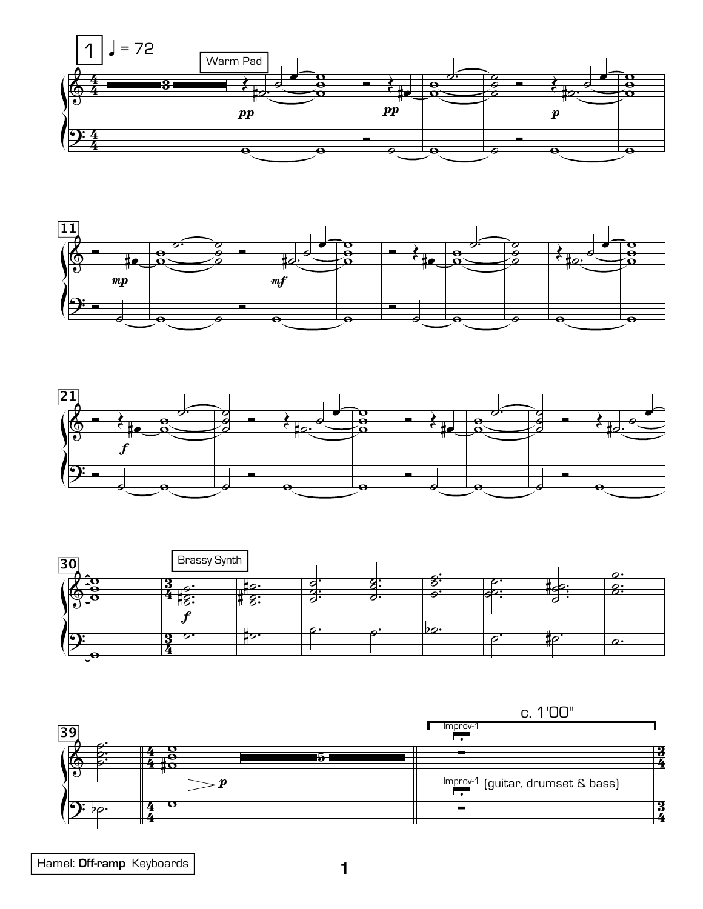







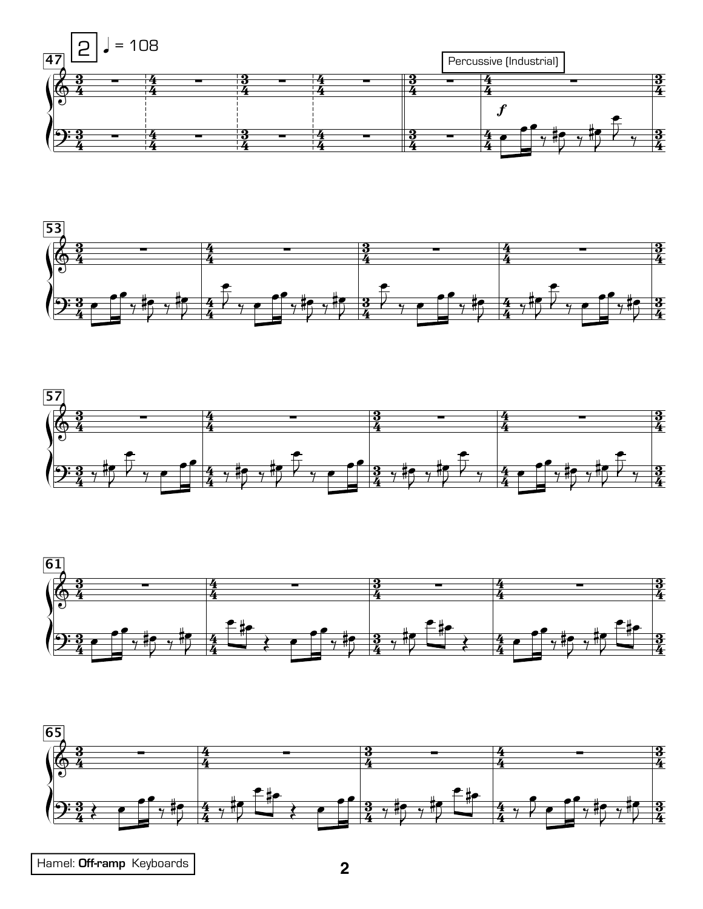









Hamel: Off-ramp Keyboards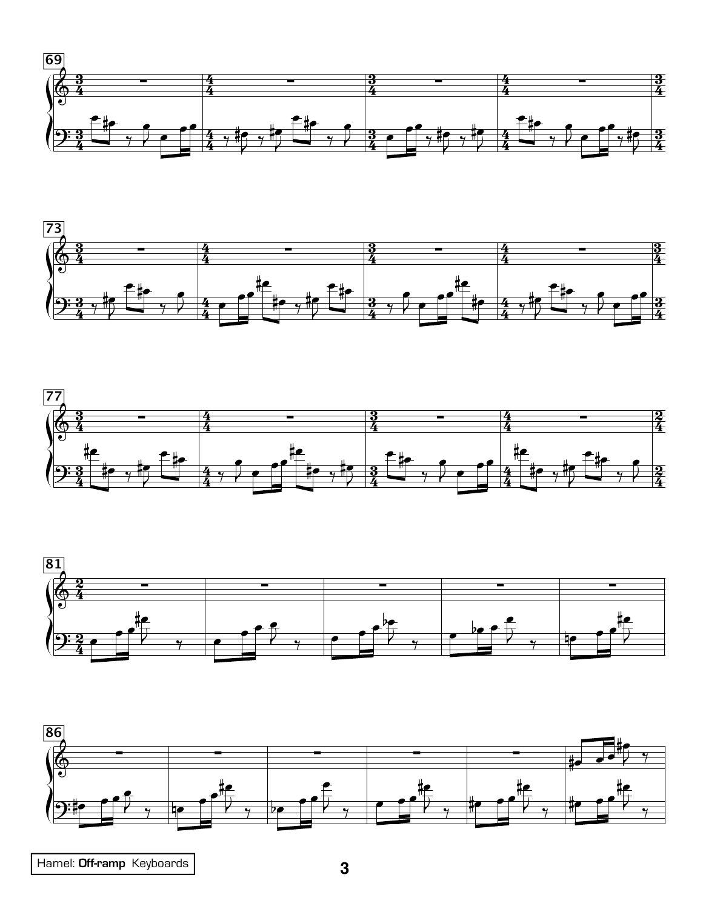









Hamel: Off-ramp Keyboards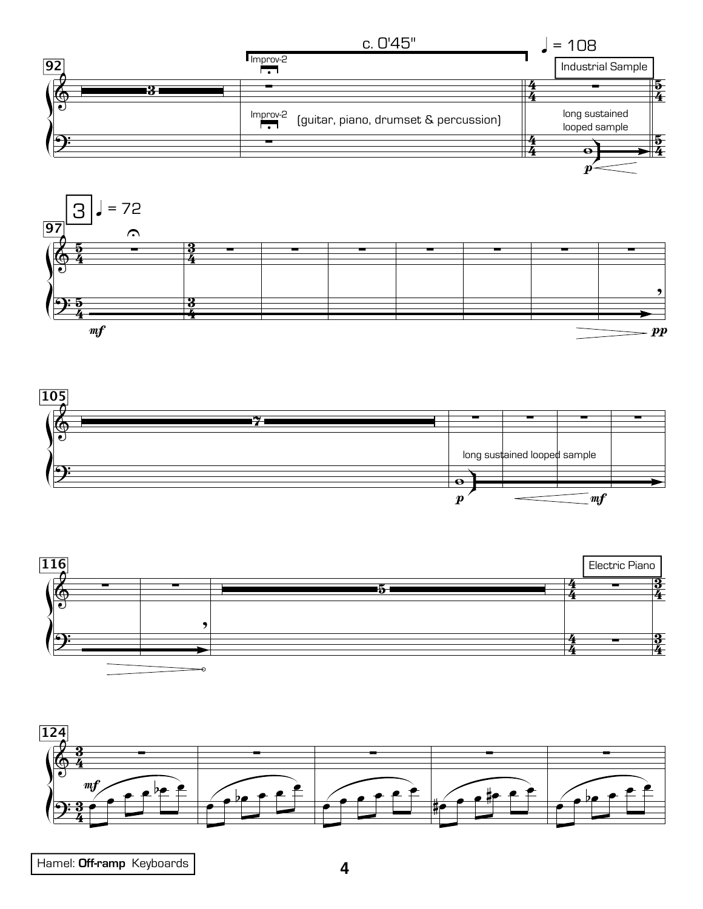







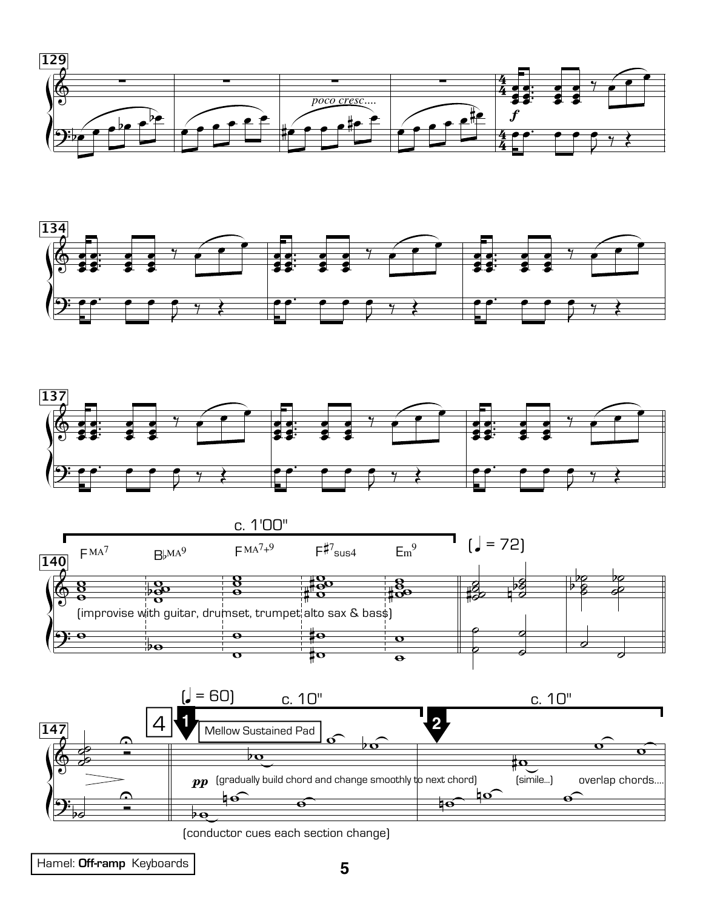









(conductor cues each section change)

Hamel: Off-ramp Keyboards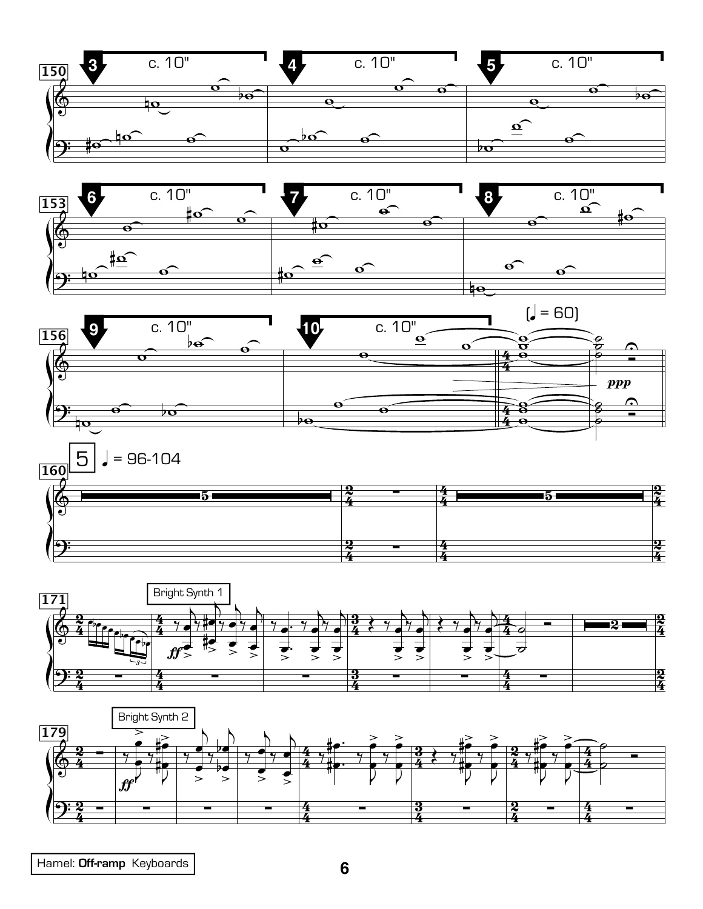